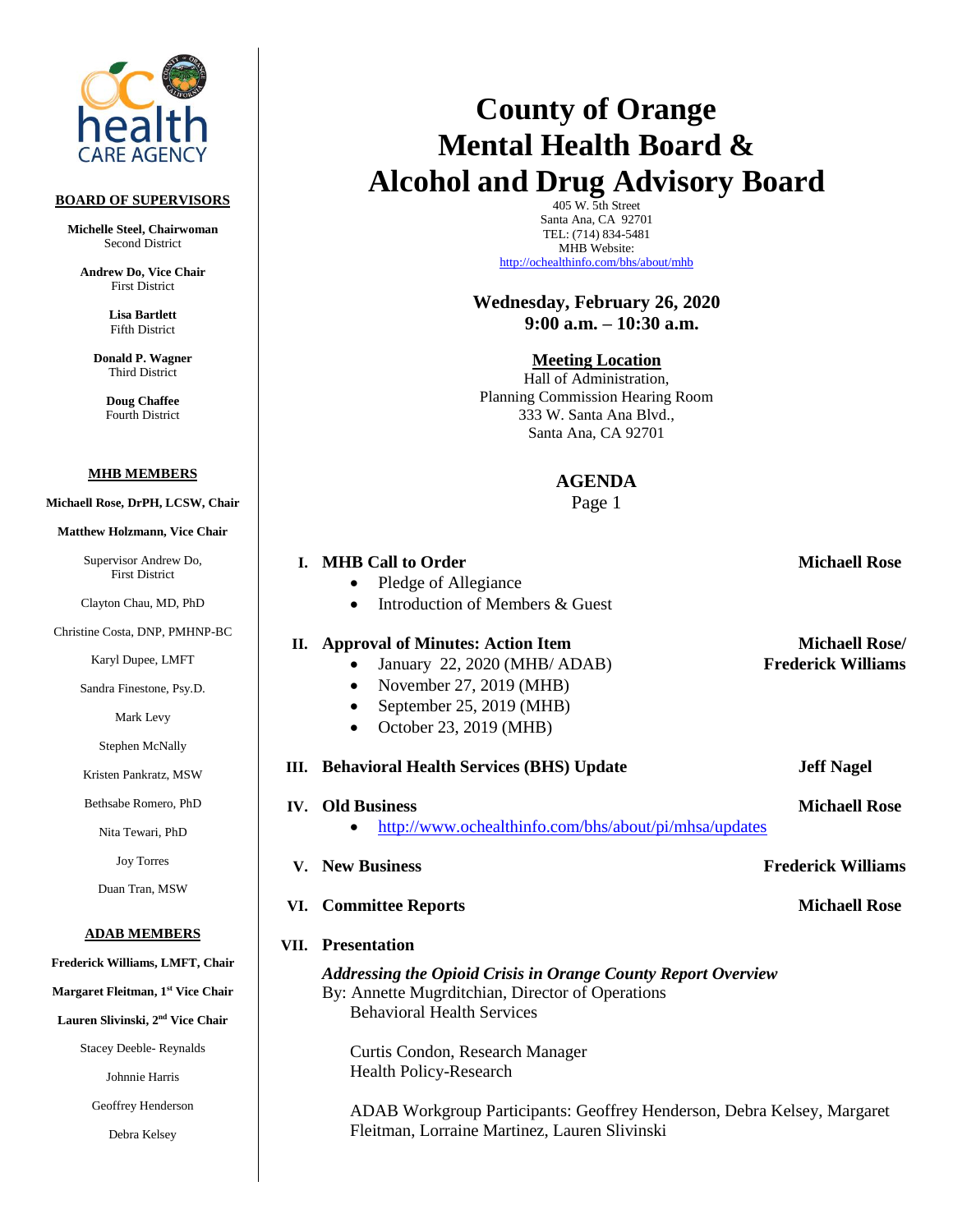

### **BOARD OF SUPERVISORS**

**Michelle Steel, Chairwoman** Second District

**Andrew Do, Vice Chair** First District

> **Lisa Bartlett** Fifth District

**Donald P. Wagner** Third District

> **Doug Chaffee** Fourth District

#### **MHB MEMBERS**

- **Michaell Rose, DrPH, LCSW, Chair** 
	- **Matthew Holzmann, Vice Chair**

Supervisor First D

Clayton Cha

Christine Costa, D

Karyl Dup

Sandra Fines

Mark

Stephen

Kristen Panl

Bethsabe Ro

Nita Tew

Joy T

Duan Tra

#### **ADAB M**

**Frederick William** 

**Margaret Fleitman** 

**Lauren Slivinski nd Vice Chair**

Stacey Deebl

Johnnie

Geoffrey H

Debra Kelsey

# **County of Orange Mental Health Board & Alcohol and Drug Advisory Board**

405 W. 5th Street Santa Ana, CA 92701 TEL: (714) 834-5481 MHB Website: <http://ochealthinfo.com/bhs/about/mhb>

**Wednesday, February 26, 2020 9:00 a.m. – 10:30 a.m.**

**Meeting Location**

Hall of Administration, Planning Commission Hearing Room 333 W. Santa Ana Blvd., Santa Ana, CA 92701

## **AGENDA**

Page 1

| Andrew Do,<br>district         |      | I. MHB Call to Order                                                    | <b>Michaell Rose</b>      |
|--------------------------------|------|-------------------------------------------------------------------------|---------------------------|
| u, MD, PhD                     |      | Pledge of Allegiance<br>Introduction of Members & Guest                 |                           |
| <b>DNP, PMHNP-BC</b>           |      | II. Approval of Minutes: Action Item                                    | <b>Michaell Rose/</b>     |
| ee, LMFT                       |      | January 22, 2020 (MHB/ ADAB)                                            | <b>Frederick Williams</b> |
| stone, Psy.D.                  |      | November 27, 2019 (MHB)                                                 |                           |
| Levy                           |      | September 25, 2019 (MHB)<br>October 23, 2019 (MHB)                      |                           |
| McNally                        |      |                                                                         |                           |
| kratz, MSW                     |      | III. Behavioral Health Services (BHS) Update                            | <b>Jeff Nagel</b>         |
| omero, PhD                     |      | <b>IV.</b> Old Business                                                 | <b>Michaell Rose</b>      |
| ari, PhD                       |      | http://www.ochealthinfo.com/bhs/about/pi/mhsa/updates                   |                           |
| orres                          | V.   | <b>New Business</b>                                                     | <b>Frederick Williams</b> |
| an, MSW                        |      | VI. Committee Reports                                                   | <b>Michaell Rose</b>      |
| <u>EMBERS</u>                  | VII. | <b>Presentation</b>                                                     |                           |
| ns, LMFT, Chair                |      | <b>Addressing the Opioid Crisis in Orange County Report Overview</b>    |                           |
| an, 1 <sup>st</sup> Vice Chair |      | By: Annette Mugrditchian, Director of Operations                        |                           |
| i, 2 <sup>nd</sup> Vice Chair  |      | <b>Behavioral Health Services</b>                                       |                           |
| le-Reynalds                    |      | Curtis Condon, Research Manager                                         |                           |
| e Harris                       |      | <b>Health Policy-Research</b>                                           |                           |
| Henderson                      |      | ADAB Workgroup Participants: Geoffrey Henderson, Debra Kelsey, Margaret |                           |
| Kelsey                         |      | Fleitman, Lorraine Martinez, Lauren Slivinski                           |                           |